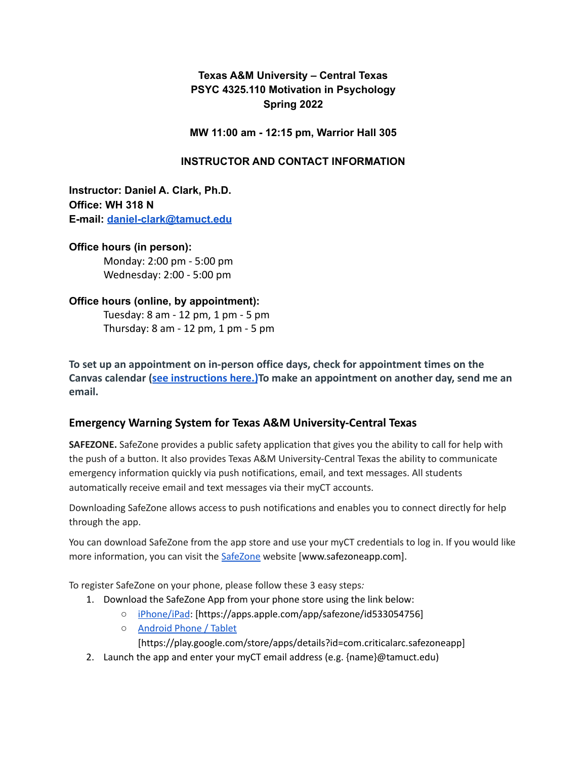# **Texas A&M University – Central Texas PSYC 4325.110 Motivation in Psychology Spring 2022**

**MW 11:00 am - 12:15 pm, Warrior Hall 305**

### **INSTRUCTOR AND CONTACT INFORMATION**

**Instructor: Daniel A. Clark, Ph.D. Office: WH 318 N E-mail: [daniel-clark@tamuct.edu](mailto:daniel-clark@tamuct.edu)**

**Office hours (in person):** Monday: 2:00 pm - 5:00 pm Wednesday: 2:00 - 5:00 pm

# **Office hours (online, by appointment):**

Tuesday: 8 am - 12 pm, 1 pm - 5 pm Thursday: 8 am - 12 pm, 1 pm - 5 pm

**To set up an appointment on in-person office days, check for appointment times on the Canvas calendar ([see instructions here.\)](https://community.canvaslms.com/t5/Student-Guide/How-do-I-sign-up-for-a-Scheduler-appointment-in-the-Calendar/ta-p/536)To make an appointment on another day, send me an email.**

## **Emergency Warning System for Texas A&M University-Central Texas**

**SAFEZONE.** SafeZone provides a public safety application that gives you the ability to call for help with the push of a button. It also provides Texas A&M University-Central Texas the ability to communicate emergency information quickly via push notifications, email, and text messages. All students automatically receive email and text messages via their myCT accounts.

Downloading SafeZone allows access to push notifications and enables you to connect directly for help through the app.

You can download SafeZone from the app store and use your myCT credentials to log in. If you would like more information, you can visit the [SafeZone](http://www.safezoneapp.com/) website [www.safezoneapp.com].

To register SafeZone on your phone, please follow these 3 easy steps*:*

- 1. Download the SafeZone App from your phone store using the link below:
	- [iPhone/iPad](https://apps.apple.com/app/safezone/id533054756): [https://apps.apple.com/app/safezone/id533054756]
	- [Android](https://play.google.com/store/apps/details?id=com.criticalarc.safezoneapp) Phone / Tablet
		- [https://play.google.com/store/apps/details?id=com.criticalarc.safezoneapp]
- 2. Launch the app and enter your myCT email address (e.g. {name}@tamuct.edu)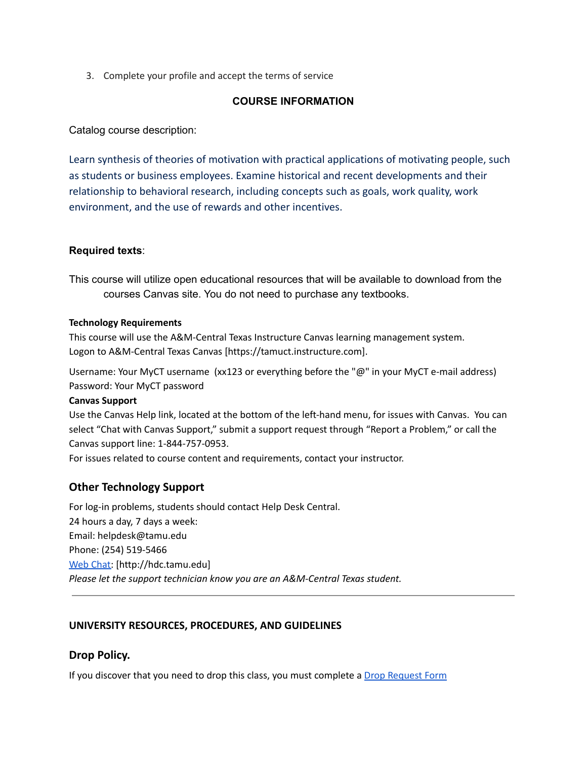3. Complete your profile and accept the terms of service

#### **COURSE INFORMATION**

Catalog course description:

Learn synthesis of theories of motivation with practical applications of motivating people, such as students or business employees. Examine historical and recent developments and their relationship to behavioral research, including concepts such as goals, work quality, work environment, and the use of rewards and other incentives.

### **Required texts**:

This course will utilize open educational resources that will be available to download from the courses Canvas site. You do not need to purchase any textbooks.

#### **Technology Requirements**

This course will use the A&M-Central Texas Instructure Canvas learning management system. Logon to A&M-Central Texas Canvas [https://tamuct.instructure.com].

Username: Your MyCT username (xx123 or everything before the "@" in your MyCT e-mail address) Password: Your MyCT password

#### **Canvas Support**

Use the Canvas Help link, located at the bottom of the left-hand menu, for issues with Canvas. You can select "Chat with Canvas Support," submit a support request through "Report a Problem," or call the Canvas support line: 1-844-757-0953.

For issues related to course content and requirements, contact your instructor.

### **Other Technology Support**

For log-in problems, students should contact Help Desk Central. 24 hours a day, 7 days a week: Email: helpdesk@tamu.edu Phone: (254) 519-5466 Web [Chat:](http://hdc.tamu.edu/) [http://hdc.tamu.edu] *Please let the support technician know you are an A&M-Central Texas student.*

### **UNIVERSITY RESOURCES, PROCEDURES, AND GUIDELINES**

### **Drop Policy.**

If you discover that you need to drop this class, you must complete a Drop [Request](https://www.tamuct.edu/registrar/docs/Drop_Request_Form.pdf) Form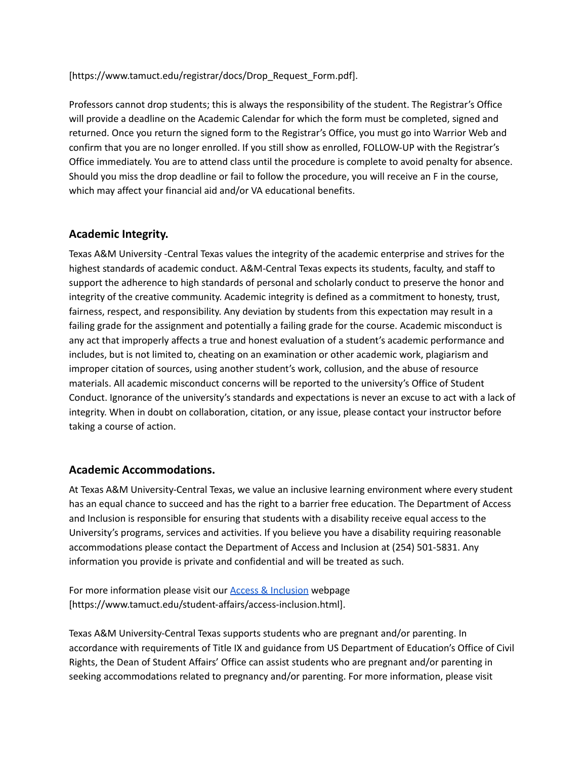[https://www.tamuct.edu/registrar/docs/Drop\_Request\_Form.pdf].

Professors cannot drop students; this is always the responsibility of the student. The Registrar's Office will provide a deadline on the Academic Calendar for which the form must be completed, signed and returned. Once you return the signed form to the Registrar's Office, you must go into Warrior Web and confirm that you are no longer enrolled. If you still show as enrolled, FOLLOW-UP with the Registrar's Office immediately. You are to attend class until the procedure is complete to avoid penalty for absence. Should you miss the drop deadline or fail to follow the procedure, you will receive an F in the course, which may affect your financial aid and/or VA educational benefits.

## **Academic Integrity.**

Texas A&M University -Central Texas values the integrity of the academic enterprise and strives for the highest standards of academic conduct. A&M-Central Texas expects its students, faculty, and staff to support the adherence to high standards of personal and scholarly conduct to preserve the honor and integrity of the creative community. Academic integrity is defined as a commitment to honesty, trust, fairness, respect, and responsibility. Any deviation by students from this expectation may result in a failing grade for the assignment and potentially a failing grade for the course. Academic misconduct is any act that improperly affects a true and honest evaluation of a student's academic performance and includes, but is not limited to, cheating on an examination or other academic work, plagiarism and improper citation of sources, using another student's work, collusion, and the abuse of resource materials. All academic misconduct concerns will be reported to the university's Office of Student Conduct. Ignorance of the university's standards and expectations is never an excuse to act with a lack of integrity. When in doubt on collaboration, citation, or any issue, please contact your instructor before taking a course of action.

### **Academic Accommodations.**

At Texas A&M University-Central Texas, we value an inclusive learning environment where every student has an equal chance to succeed and has the right to a barrier free education. The Department of Access and Inclusion is responsible for ensuring that students with a disability receive equal access to the University's programs, services and activities. If you believe you have a disability requiring reasonable accommodations please contact the Department of Access and Inclusion at (254) 501-5831. Any information you provide is private and confidential and will be treated as such.

For more information please visit our **Access & [Inclusion](https://www.tamuct.edu/student-affairs/access-inclusion.html)** webpage [https://www.tamuct.edu/student-affairs/access-inclusion.html].

Texas A&M University-Central Texas supports students who are pregnant and/or parenting. In accordance with requirements of Title IX and guidance from US Department of Education's Office of Civil Rights, the Dean of Student Affairs' Office can assist students who are pregnant and/or parenting in seeking accommodations related to pregnancy and/or parenting. For more information, please visit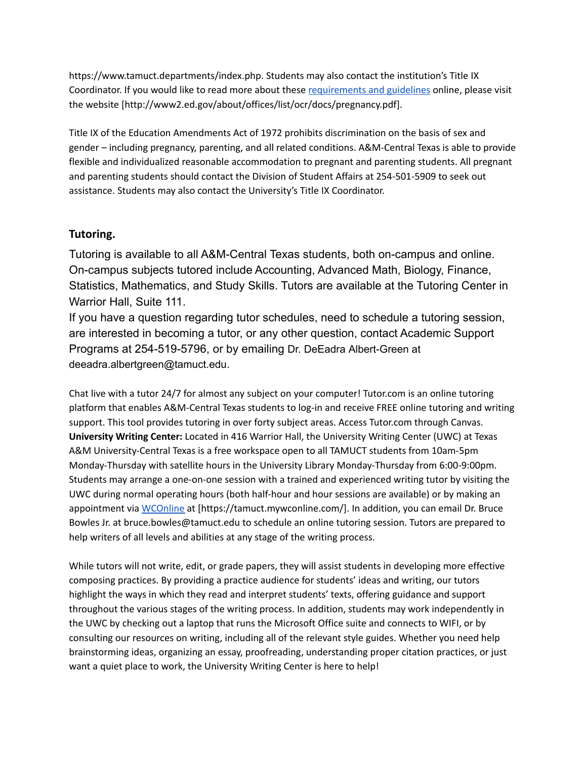https://www.tamuct.departments/index.php. Students may also contact the institution's Title IX Coordinator. If you would like to read more about these [requirements](http://www2.ed.gov/about/offices/list/ocr/docs/pregnancy.pdf) and guidelines online, please visit the website [http://www2.ed.gov/about/offices/list/ocr/docs/pregnancy.pdf].

Title IX of the Education Amendments Act of 1972 prohibits discrimination on the basis of sex and gender – including pregnancy, parenting, and all related conditions. A&M-Central Texas is able to provide flexible and individualized reasonable accommodation to pregnant and parenting students. All pregnant and parenting students should contact the Division of Student Affairs at 254-501-5909 to seek out assistance. Students may also contact the University's Title IX Coordinator.

## **Tutoring.**

Tutoring is available to all A&M-Central Texas students, both on-campus and online. On-campus subjects tutored include Accounting, Advanced Math, Biology, Finance, Statistics, Mathematics, and Study Skills. Tutors are available at the Tutoring Center in Warrior Hall, Suite 111.

If you have a question regarding tutor schedules, need to schedule a tutoring session, are interested in becoming a tutor, or any other question, contact Academic Support Programs at 254-519-5796, or by emailing Dr. DeEadra Albert-Green at deeadra.albertgreen@tamuct.edu.

Chat live with a tutor 24/7 for almost any subject on your computer! Tutor.com is an online tutoring platform that enables A&M-Central Texas students to log-in and receive FREE online tutoring and writing support. This tool provides tutoring in over forty subject areas. Access Tutor.com through Canvas. **University Writing Center:** Located in 416 Warrior Hall, the University Writing Center (UWC) at Texas A&M University-Central Texas is a free workspace open to all TAMUCT students from 10am-5pm Monday-Thursday with satellite hours in the University Library Monday-Thursday from 6:00-9:00pm. Students may arrange a one-on-one session with a trained and experienced writing tutor by visiting the UWC during normal operating hours (both half-hour and hour sessions are available) or by making an appointment via [WCOnline](https://tamuct.mywconline.com/) at [https://tamuct.mywconline.com/]. In addition, you can email Dr. Bruce Bowles Jr. at bruce.bowles@tamuct.edu to schedule an online tutoring session. Tutors are prepared to help writers of all levels and abilities at any stage of the writing process.

While tutors will not write, edit, or grade papers, they will assist students in developing more effective composing practices. By providing a practice audience for students' ideas and writing, our tutors highlight the ways in which they read and interpret students' texts, offering guidance and support throughout the various stages of the writing process. In addition, students may work independently in the UWC by checking out a laptop that runs the Microsoft Office suite and connects to WIFI, or by consulting our resources on writing, including all of the relevant style guides. Whether you need help brainstorming ideas, organizing an essay, proofreading, understanding proper citation practices, or just want a quiet place to work, the University Writing Center is here to help!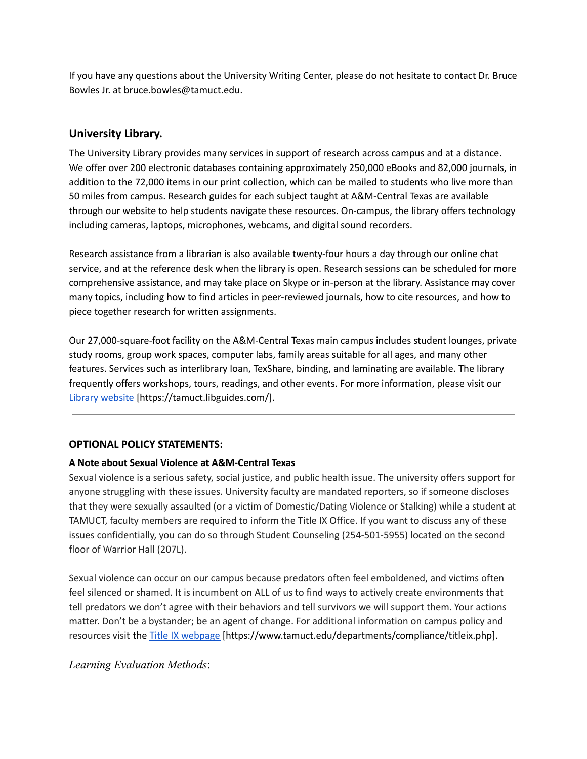If you have any questions about the University Writing Center, please do not hesitate to contact Dr. Bruce Bowles Jr. at bruce.bowles@tamuct.edu.

### **University Library.**

The University Library provides many services in support of research across campus and at a distance. We offer over 200 electronic databases containing approximately 250,000 eBooks and 82,000 journals, in addition to the 72,000 items in our print collection, which can be mailed to students who live more than 50 miles from campus. Research guides for each subject taught at A&M-Central Texas are available through our website to help students navigate these resources. On-campus, the library offers technology including cameras, laptops, microphones, webcams, and digital sound recorders.

Research assistance from a librarian is also available twenty-four hours a day through our online chat service, and at the reference desk when the library is open. Research sessions can be scheduled for more comprehensive assistance, and may take place on Skype or in-person at the library. Assistance may cover many topics, including how to find articles in peer-reviewed journals, how to cite resources, and how to piece together research for written assignments.

Our 27,000-square-foot facility on the A&M-Central Texas main campus includes student lounges, private study rooms, group work spaces, computer labs, family areas suitable for all ages, and many other features. Services such as interlibrary loan, TexShare, binding, and laminating are available. The library frequently offers workshops, tours, readings, and other events. For more information, please visit ou[r](https://tamuct.libguides.com/) Library [website](https://tamuct.libguides.com/) [https://tamuct.libguides.com/].

#### **OPTIONAL POLICY STATEMENTS:**

#### **A Note about Sexual Violence at A&M-Central Texas**

Sexual violence is a serious safety, social justice, and public health issue. The university offers support for anyone struggling with these issues. University faculty are mandated reporters, so if someone discloses that they were sexually assaulted (or a victim of Domestic/Dating Violence or Stalking) while a student at TAMUCT, faculty members are required to inform the Title IX Office. If you want to discuss any of these issues confidentially, you can do so through Student Counseling (254-501-5955) located on the second floor of Warrior Hall (207L).

Sexual violence can occur on our campus because predators often feel emboldened, and victims often feel silenced or shamed. It is incumbent on ALL of us to find ways to actively create environments that tell predators we don't agree with their behaviors and tell survivors we will support them. Your actions matter. Don't be a bystander; be an agent of change. For additional information on campus policy and resources visit the Title IX [webpage](https://www.tamuct.edu/departments/compliance/titleix.php) [https://www.tamuct.edu/departments/compliance/titleix.php].

### *Learning Evaluation Methods*: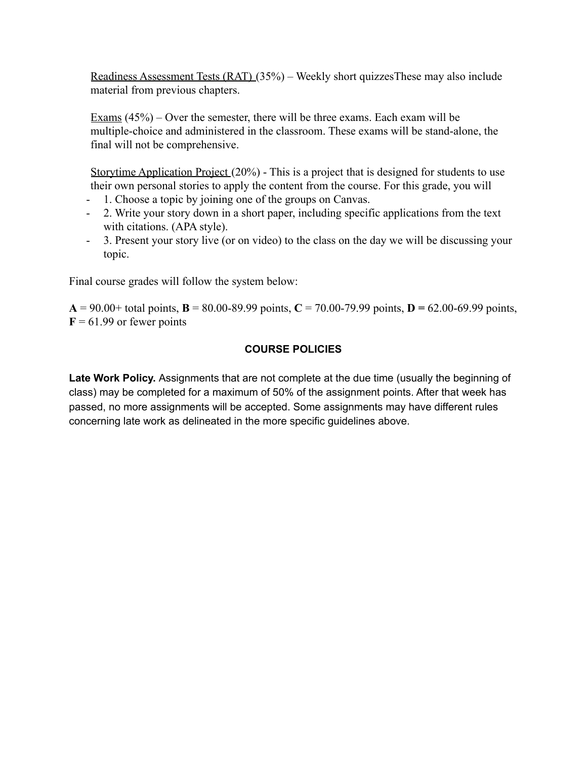Readiness Assessment Tests (RAT) (35%) – Weekly short quizzesThese may also include material from previous chapters.

Exams (45%) – Over the semester, there will be three exams. Each exam will be multiple-choice and administered in the classroom. These exams will be stand-alone, the final will not be comprehensive.

Storytime Application Project (20%) - This is a project that is designed for students to use their own personal stories to apply the content from the course. For this grade, you will

- 1. Choose a topic by joining one of the groups on Canvas.
- 2. Write your story down in a short paper, including specific applications from the text with citations. (APA style).
- 3. Present your story live (or on video) to the class on the day we will be discussing your topic.

Final course grades will follow the system below:

 $A = 90.00+$  total points,  $B = 80.00-89.99$  points,  $C = 70.00-79.99$  points,  $D = 62.00-69.99$  points,  $F = 61.99$  or fewer points

## **COURSE POLICIES**

**Late Work Policy.** Assignments that are not complete at the due time (usually the beginning of class) may be completed for a maximum of 50% of the assignment points. After that week has passed, no more assignments will be accepted. Some assignments may have different rules concerning late work as delineated in the more specific guidelines above.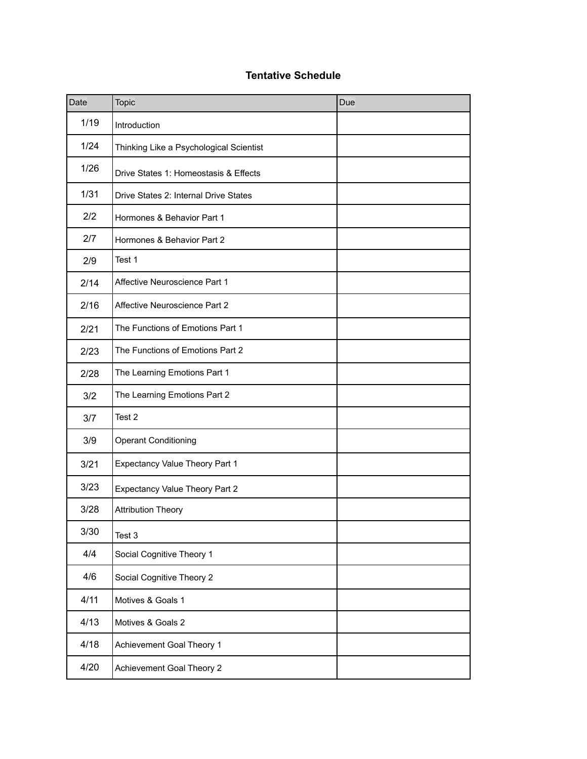# **Tentative Schedule**

| Date   | Topic                                   | Due |
|--------|-----------------------------------------|-----|
| 1/19   | Introduction                            |     |
| 1/24   | Thinking Like a Psychological Scientist |     |
| 1/26   | Drive States 1: Homeostasis & Effects   |     |
| $1/31$ | Drive States 2: Internal Drive States   |     |
| 2/2    | Hormones & Behavior Part 1              |     |
| 2/7    | Hormones & Behavior Part 2              |     |
| 2/9    | Test 1                                  |     |
| 2/14   | Affective Neuroscience Part 1           |     |
| 2/16   | Affective Neuroscience Part 2           |     |
| 2/21   | The Functions of Emotions Part 1        |     |
| 2/23   | The Functions of Emotions Part 2        |     |
| 2/28   | The Learning Emotions Part 1            |     |
| 3/2    | The Learning Emotions Part 2            |     |
| 3/7    | Test 2                                  |     |
| 3/9    | <b>Operant Conditioning</b>             |     |
| 3/21   | Expectancy Value Theory Part 1          |     |
| 3/23   | <b>Expectancy Value Theory Part 2</b>   |     |
| 3/28   | <b>Attribution Theory</b>               |     |
| 3/30   | Test 3                                  |     |
| 4/4    | Social Cognitive Theory 1               |     |
| 4/6    | Social Cognitive Theory 2               |     |
| 4/11   | Motives & Goals 1                       |     |
| 4/13   | Motives & Goals 2                       |     |
| 4/18   | Achievement Goal Theory 1               |     |
| 4/20   | Achievement Goal Theory 2               |     |